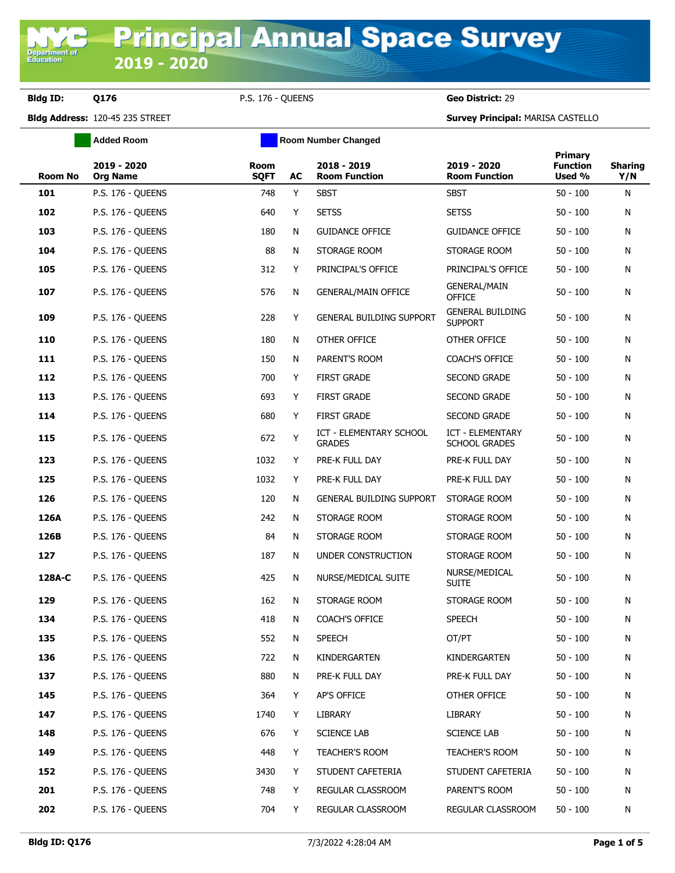**Department o**<br>Education

**Added Room Room Room Number Changed** 

**Bldg ID: Q176** P.S. 176 - QUEENS **Geo District:** 29

| <b>Room No</b> | 2019 - 2020<br><b>Org Name</b> | Room<br><b>SQFT</b> | AC | 2018 - 2019<br><b>Room Function</b>             | 2019 - 2020<br><b>Room Function</b>             | Primary<br><b>Function</b><br>Used % | <b>Sharing</b><br>Y/N |
|----------------|--------------------------------|---------------------|----|-------------------------------------------------|-------------------------------------------------|--------------------------------------|-----------------------|
| 101            | P.S. 176 - QUEENS              | 748                 | Y  | <b>SBST</b>                                     | <b>SBST</b>                                     | $50 - 100$                           | N                     |
| 102            | <b>P.S. 176 - QUEENS</b>       | 640                 | Y  | <b>SETSS</b>                                    | <b>SETSS</b>                                    | $50 - 100$                           | N                     |
| 103            | <b>P.S. 176 - QUEENS</b>       | 180                 | N  | <b>GUIDANCE OFFICE</b>                          | <b>GUIDANCE OFFICE</b>                          | $50 - 100$                           | N                     |
| 104            | <b>P.S. 176 - QUEENS</b>       | 88                  | N  | STORAGE ROOM                                    | STORAGE ROOM                                    | $50 - 100$                           | N                     |
| 105            | <b>P.S. 176 - QUEENS</b>       | 312                 | Y  | PRINCIPAL'S OFFICE                              | PRINCIPAL'S OFFICE                              | $50 - 100$                           | N                     |
| 107            | <b>P.S. 176 - QUEENS</b>       | 576                 | N  | <b>GENERAL/MAIN OFFICE</b>                      | <b>GENERAL/MAIN</b><br><b>OFFICE</b>            | $50 - 100$                           | N                     |
| 109            | <b>P.S. 176 - QUEENS</b>       | 228                 | Y  | <b>GENERAL BUILDING SUPPORT</b>                 | <b>GENERAL BUILDING</b><br><b>SUPPORT</b>       | $50 - 100$                           | N                     |
| 110            | <b>P.S. 176 - QUEENS</b>       | 180                 | N  | OTHER OFFICE                                    | OTHER OFFICE                                    | $50 - 100$                           | N                     |
| 111            | <b>P.S. 176 - QUEENS</b>       | 150                 | N  | PARENT'S ROOM                                   | COACH'S OFFICE                                  | $50 - 100$                           | N                     |
| 112            | <b>P.S. 176 - QUEENS</b>       | 700                 | Y  | <b>FIRST GRADE</b>                              | <b>SECOND GRADE</b>                             | $50 - 100$                           | N                     |
| 113            | <b>P.S. 176 - QUEENS</b>       | 693                 | Y  | <b>FIRST GRADE</b>                              | SECOND GRADE                                    | $50 - 100$                           | N                     |
| 114            | <b>P.S. 176 - QUEENS</b>       | 680                 | Y  | <b>FIRST GRADE</b>                              | <b>SECOND GRADE</b>                             | $50 - 100$                           | N                     |
| 115            | P.S. 176 - OUEENS              | 672                 | Y  | <b>ICT - ELEMENTARY SCHOOL</b><br><b>GRADES</b> | <b>ICT - ELEMENTARY</b><br><b>SCHOOL GRADES</b> | $50 - 100$                           | N                     |
| 123            | <b>P.S. 176 - QUEENS</b>       | 1032                | Y  | PRE-K FULL DAY                                  | PRE-K FULL DAY                                  | $50 - 100$                           | N                     |
| 125            | <b>P.S. 176 - QUEENS</b>       | 1032                | Y  | PRE-K FULL DAY                                  | PRE-K FULL DAY                                  | $50 - 100$                           | N                     |
| 126            | <b>P.S. 176 - QUEENS</b>       | 120                 | N  | <b>GENERAL BUILDING SUPPORT</b>                 | STORAGE ROOM                                    | $50 - 100$                           | N                     |
| 126A           | <b>P.S. 176 - QUEENS</b>       | 242                 | N  | STORAGE ROOM                                    | STORAGE ROOM                                    | $50 - 100$                           | N                     |
| 126B           | <b>P.S. 176 - QUEENS</b>       | 84                  | N  | STORAGE ROOM                                    | STORAGE ROOM                                    | $50 - 100$                           | N                     |
| 127            | <b>P.S. 176 - QUEENS</b>       | 187                 | N  | UNDER CONSTRUCTION                              | STORAGE ROOM                                    | $50 - 100$                           | N                     |
| 128A-C         | <b>P.S. 176 - QUEENS</b>       | 425                 | N  | NURSE/MEDICAL SUITE                             | NURSE/MEDICAL<br><b>SUITE</b>                   | $50 - 100$                           | N                     |
| 129            | <b>P.S. 176 - QUEENS</b>       | 162                 | N  | STORAGE ROOM                                    | STORAGE ROOM                                    | $50 - 100$                           | N                     |
| 134            | <b>P.S. 176 - QUEENS</b>       | 418                 | N  | COACH'S OFFICE                                  | <b>SPEECH</b>                                   | $50 - 100$                           | N                     |
| 135            | <b>P.S. 176 - QUEENS</b>       | 552                 | N  | <b>SPEECH</b>                                   | OT/PT                                           | $50 - 100$                           | N                     |
| 136            | P.S. 176 - QUEENS              | 722                 | N  | KINDERGARTEN                                    | KINDERGARTEN                                    | $50 - 100$                           | N                     |
| 137            | P.S. 176 - QUEENS              | 880                 | N  | PRE-K FULL DAY                                  | PRE-K FULL DAY                                  | $50 - 100$                           | N                     |
| 145            | <b>P.S. 176 - QUEENS</b>       | 364                 | Y  | AP'S OFFICE                                     | OTHER OFFICE                                    | $50 - 100$                           | N                     |
| 147            | P.S. 176 - QUEENS              | 1740                | Y  | LIBRARY                                         | LIBRARY                                         | $50 - 100$                           | N                     |
| 148            | P.S. 176 - QUEENS              | 676                 | Y  | <b>SCIENCE LAB</b>                              | <b>SCIENCE LAB</b>                              | $50 - 100$                           | N                     |
| 149            | P.S. 176 - QUEENS              | 448                 | Y  | TEACHER'S ROOM                                  | TEACHER'S ROOM                                  | $50 - 100$                           | N                     |
| 152            | P.S. 176 - QUEENS              | 3430                | Y  | STUDENT CAFETERIA                               | STUDENT CAFETERIA                               | $50 - 100$                           | N                     |
| 201            | P.S. 176 - QUEENS              | 748                 | Y  | REGULAR CLASSROOM                               | PARENT'S ROOM                                   | $50 - 100$                           | N                     |
| 202            | P.S. 176 - QUEENS              | 704                 | Y  | REGULAR CLASSROOM                               | REGULAR CLASSROOM                               | $50 - 100$                           | N                     |
|                |                                |                     |    |                                                 |                                                 |                                      |                       |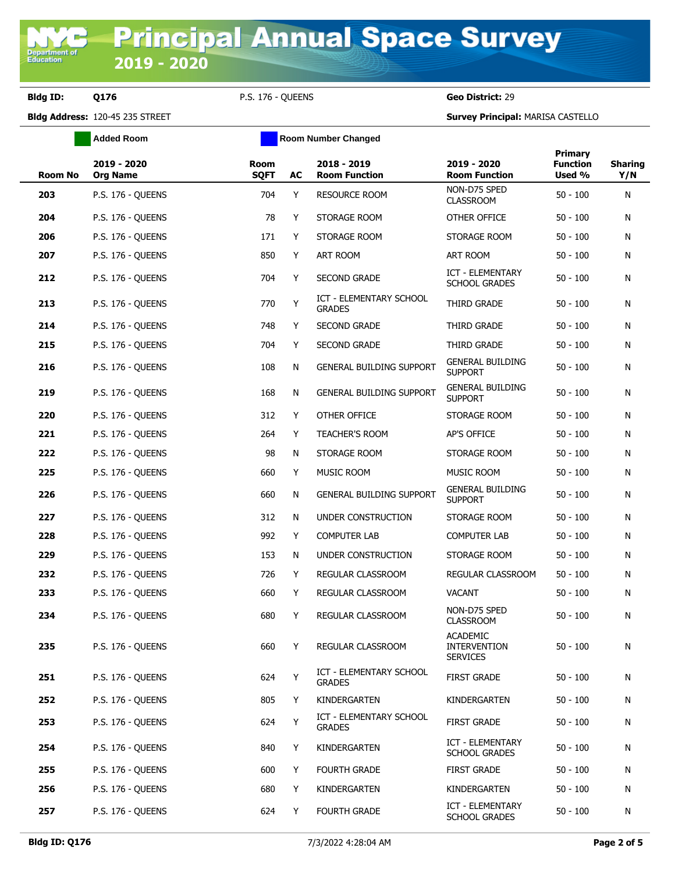**Bldg ID: Q176** P.S. 176 - QUEENS **Geo District:** 29

**Added Room Room Room Number Changed** 

| <b>Room No</b> | 2019 - 2020<br><b>Org Name</b> | Room<br><b>SQFT</b> | AC | 2018 - 2019<br><b>Room Function</b>             | 2019 - 2020<br><b>Room Function</b>                       | Primary<br><b>Function</b><br>Used % | <b>Sharing</b><br>Y/N |
|----------------|--------------------------------|---------------------|----|-------------------------------------------------|-----------------------------------------------------------|--------------------------------------|-----------------------|
| 203            | P.S. 176 - QUEENS              | 704                 | Y  | <b>RESOURCE ROOM</b>                            | NON-D75 SPED<br><b>CLASSROOM</b>                          | $50 - 100$                           | N                     |
| 204            | <b>P.S. 176 - QUEENS</b>       | 78                  | Y  | STORAGE ROOM                                    | OTHER OFFICE                                              | $50 - 100$                           | N                     |
| 206            | P.S. 176 - QUEENS              | 171                 | Y  | STORAGE ROOM                                    | STORAGE ROOM                                              | $50 - 100$                           | N                     |
| 207            | <b>P.S. 176 - QUEENS</b>       | 850                 | Y  | ART ROOM                                        | ART ROOM                                                  | $50 - 100$                           | N                     |
| 212            | <b>P.S. 176 - OUEENS</b>       | 704                 | Y  | <b>SECOND GRADE</b>                             | ICT - ELEMENTARY<br><b>SCHOOL GRADES</b>                  | $50 - 100$                           | N                     |
| 213            | <b>P.S. 176 - QUEENS</b>       | 770                 | Y  | ICT - ELEMENTARY SCHOOL<br><b>GRADES</b>        | THIRD GRADE                                               | $50 - 100$                           | N                     |
| 214            | P.S. 176 - QUEENS              | 748                 | Y  | SECOND GRADE                                    | THIRD GRADE                                               | $50 - 100$                           | N                     |
| 215            | <b>P.S. 176 - QUEENS</b>       | 704                 | Y  | <b>SECOND GRADE</b>                             | THIRD GRADE                                               | $50 - 100$                           | N                     |
| 216            | <b>P.S. 176 - QUEENS</b>       | 108                 | N  | <b>GENERAL BUILDING SUPPORT</b>                 | <b>GENERAL BUILDING</b><br><b>SUPPORT</b>                 | $50 - 100$                           | N                     |
| 219            | P.S. 176 - QUEENS              | 168                 | N  | <b>GENERAL BUILDING SUPPORT</b>                 | <b>GENERAL BUILDING</b><br><b>SUPPORT</b>                 | $50 - 100$                           | N                     |
| 220            | P.S. 176 - QUEENS              | 312                 | Y  | OTHER OFFICE                                    | STORAGE ROOM                                              | $50 - 100$                           | N                     |
| 221            | P.S. 176 - QUEENS              | 264                 | Y  | TEACHER'S ROOM                                  | AP'S OFFICE                                               | $50 - 100$                           | N                     |
| 222            | <b>P.S. 176 - QUEENS</b>       | 98                  | N  | STORAGE ROOM                                    | STORAGE ROOM                                              | $50 - 100$                           | N                     |
| 225            | <b>P.S. 176 - QUEENS</b>       | 660                 | Y  | MUSIC ROOM                                      | MUSIC ROOM                                                | $50 - 100$                           | N                     |
| 226            | P.S. 176 - QUEENS              | 660                 | N  | GENERAL BUILDING SUPPORT                        | <b>GENERAL BUILDING</b><br><b>SUPPORT</b>                 | $50 - 100$                           | N                     |
| 227            | P.S. 176 - QUEENS              | 312                 | N  | UNDER CONSTRUCTION                              | STORAGE ROOM                                              | $50 - 100$                           | N                     |
| 228            | <b>P.S. 176 - QUEENS</b>       | 992                 | Y  | <b>COMPUTER LAB</b>                             | COMPUTER LAB                                              | $50 - 100$                           | N                     |
| 229            | <b>P.S. 176 - QUEENS</b>       | 153                 | N  | UNDER CONSTRUCTION                              | STORAGE ROOM                                              | $50 - 100$                           | N                     |
| 232            | <b>P.S. 176 - QUEENS</b>       | 726                 | Y  | REGULAR CLASSROOM                               | REGULAR CLASSROOM                                         | $50 - 100$                           | N                     |
| 233            | <b>P.S. 176 - QUEENS</b>       | 660                 | Y  | REGULAR CLASSROOM                               | <b>VACANT</b>                                             | $50 - 100$                           | N                     |
| 234            | <b>P.S. 176 - QUEENS</b>       | 680                 | Y  | <b>REGULAR CLASSROOM</b>                        | NON-D75 SPED<br><b>CLASSROOM</b>                          | $50 - 100$                           | N                     |
| 235            | <b>P.S. 176 - QUEENS</b>       | 660                 | Y  | REGULAR CLASSROOM                               | <b>ACADEMIC</b><br><b>INTERVENTION</b><br><b>SERVICES</b> | $50 - 100$                           | N                     |
| 251            | P.S. 176 - QUEENS              | 624                 | Υ  | <b>ICT - ELEMENTARY SCHOOL</b><br><b>GRADES</b> | <b>FIRST GRADE</b>                                        | $50 - 100$                           | N                     |
| 252            | P.S. 176 - QUEENS              | 805                 | Y  | KINDERGARTEN                                    | KINDERGARTEN                                              | $50 - 100$                           | N                     |
| 253            | P.S. 176 - QUEENS              | 624                 | Υ  | ICT - ELEMENTARY SCHOOL<br><b>GRADES</b>        | <b>FIRST GRADE</b>                                        | $50 - 100$                           | N                     |
| 254            | P.S. 176 - QUEENS              | 840                 | Y  | KINDERGARTEN                                    | ICT - ELEMENTARY<br><b>SCHOOL GRADES</b>                  | $50 - 100$                           | N                     |
| 255            | P.S. 176 - QUEENS              | 600                 | Y  | <b>FOURTH GRADE</b>                             | <b>FIRST GRADE</b>                                        | $50 - 100$                           | N                     |
| 256            | <b>P.S. 176 - QUEENS</b>       | 680                 | Y  | KINDERGARTEN                                    | KINDERGARTEN                                              | $50 - 100$                           | N                     |
| 257            | P.S. 176 - QUEENS              | 624                 | Y  | <b>FOURTH GRADE</b>                             | ICT - ELEMENTARY<br>SCHOOL GRADES                         | $50 - 100$                           | N                     |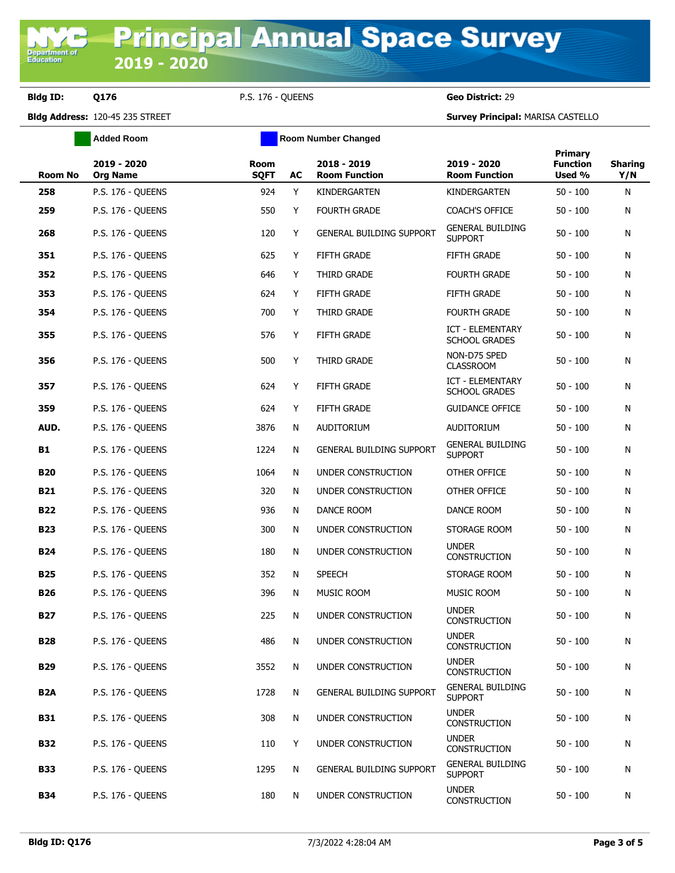**Bldg ID: Q176** P.S. 176 - QUEENS **Geo District:** 29

|                  | <b>Added Room</b>              |                     |    | <b>Room Number Changed</b>          |                                                 |                                             |                       |
|------------------|--------------------------------|---------------------|----|-------------------------------------|-------------------------------------------------|---------------------------------------------|-----------------------|
| Room No          | 2019 - 2020<br><b>Org Name</b> | Room<br><b>SQFT</b> | AC | 2018 - 2019<br><b>Room Function</b> | 2019 - 2020<br><b>Room Function</b>             | <b>Primary</b><br><b>Function</b><br>Used % | <b>Sharing</b><br>Y/N |
| 258              | <b>P.S. 176 - QUEENS</b>       | 924                 | Y  | KINDERGARTEN                        | KINDERGARTEN                                    | $50 - 100$                                  | N                     |
| 259              | <b>P.S. 176 - QUEENS</b>       | 550                 | Y  | FOURTH GRADE                        | COACH'S OFFICE                                  | $50 - 100$                                  | N                     |
| 268              | <b>P.S. 176 - QUEENS</b>       | 120                 | Y  | <b>GENERAL BUILDING SUPPORT</b>     | <b>GENERAL BUILDING</b><br><b>SUPPORT</b>       | 50 - 100                                    | N                     |
| 351              | <b>P.S. 176 - QUEENS</b>       | 625                 | Y  | <b>FIFTH GRADE</b>                  | <b>FIFTH GRADE</b>                              | 50 - 100                                    | N                     |
| 352              | <b>P.S. 176 - OUEENS</b>       | 646                 | Y  | THIRD GRADE                         | <b>FOURTH GRADE</b>                             | 50 - 100                                    | N                     |
| 353              | <b>P.S. 176 - OUEENS</b>       | 624                 | Y  | <b>FIFTH GRADE</b>                  | <b>FIFTH GRADE</b>                              | 50 - 100                                    | N                     |
| 354              | P.S. 176 - QUEENS              | 700                 | Y  | THIRD GRADE                         | <b>FOURTH GRADE</b>                             | 50 - 100                                    | N                     |
| 355              | P.S. 176 - QUEENS              | 576                 | Y  | FIFTH GRADE                         | ICT - ELEMENTARY<br><b>SCHOOL GRADES</b>        | 50 - 100                                    | N                     |
| 356              | <b>P.S. 176 - QUEENS</b>       | 500                 | Y  | THIRD GRADE                         | NON-D75 SPED<br><b>CLASSROOM</b>                | 50 - 100                                    | N                     |
| 357              | <b>P.S. 176 - QUEENS</b>       | 624                 | Y  | <b>FIFTH GRADE</b>                  | <b>ICT - ELEMENTARY</b><br><b>SCHOOL GRADES</b> | 50 - 100                                    | N                     |
| 359              | P.S. 176 - QUEENS              | 624                 | Y  | FIFTH GRADE                         | <b>GUIDANCE OFFICE</b>                          | $50 - 100$                                  | N                     |
| AUD.             | <b>P.S. 176 - QUEENS</b>       | 3876                | N  | AUDITORIUM                          | <b>AUDITORIUM</b>                               | 50 - 100                                    | N                     |
| B1               | <b>P.S. 176 - QUEENS</b>       | 1224                | N  | <b>GENERAL BUILDING SUPPORT</b>     | <b>GENERAL BUILDING</b><br><b>SUPPORT</b>       | $50 - 100$                                  | N                     |
| <b>B20</b>       | <b>P.S. 176 - QUEENS</b>       | 1064                | N  | UNDER CONSTRUCTION                  | OTHER OFFICE                                    | 50 - 100                                    | N                     |
| <b>B21</b>       | <b>P.S. 176 - QUEENS</b>       | 320                 | N  | UNDER CONSTRUCTION                  | OTHER OFFICE                                    | 50 - 100                                    | N                     |
| <b>B22</b>       | <b>P.S. 176 - QUEENS</b>       | 936                 | N  | DANCE ROOM                          | DANCE ROOM                                      | 50 - 100                                    | N                     |
| <b>B23</b>       | <b>P.S. 176 - QUEENS</b>       | 300                 | N  | UNDER CONSTRUCTION                  | STORAGE ROOM                                    | 50 - 100                                    | N                     |
| <b>B24</b>       | <b>P.S. 176 - QUEENS</b>       | 180                 | N  | UNDER CONSTRUCTION                  | <b>UNDER</b><br><b>CONSTRUCTION</b>             | 50 - 100                                    | N                     |
| <b>B25</b>       | <b>P.S. 176 - QUEENS</b>       | 352                 | N  | <b>SPEECH</b>                       | STORAGE ROOM                                    | 50 - 100                                    | N                     |
| <b>B26</b>       | <b>P.S. 176 - QUEENS</b>       | 396                 | N  | MUSIC ROOM                          | MUSIC ROOM                                      | 50 - 100                                    | N                     |
| B27              | <b>P.S. 176 - QUEENS</b>       | 225                 | N  | UNDER CONSTRUCTION                  | <b>UNDER</b><br><b>CONSTRUCTION</b>             | $50 - 100$                                  | N                     |
| <b>B28</b>       | <b>P.S. 176 - QUEENS</b>       | 486                 | N  | UNDER CONSTRUCTION                  | <b>UNDER</b><br><b>CONSTRUCTION</b>             | 50 - 100                                    | N                     |
| <b>B29</b>       | P.S. 176 - QUEENS              | 3552                | N  | UNDER CONSTRUCTION                  | <b>UNDER</b><br>CONSTRUCTION                    | $50 - 100$                                  | N                     |
| B <sub>2</sub> A | P.S. 176 - QUEENS              | 1728                | N  | <b>GENERAL BUILDING SUPPORT</b>     | <b>GENERAL BUILDING</b><br><b>SUPPORT</b>       | $50 - 100$                                  | N                     |
| <b>B31</b>       | P.S. 176 - QUEENS              | 308                 | N  | UNDER CONSTRUCTION                  | <b>UNDER</b><br><b>CONSTRUCTION</b>             | $50 - 100$                                  | N                     |
| <b>B32</b>       | <b>P.S. 176 - OUEENS</b>       | 110                 | Y  | UNDER CONSTRUCTION                  | <b>UNDER</b><br><b>CONSTRUCTION</b>             | $50 - 100$                                  | N                     |
| <b>B33</b>       | P.S. 176 - QUEENS              | 1295                | N  | GENERAL BUILDING SUPPORT            | <b>GENERAL BUILDING</b><br><b>SUPPORT</b>       | $50 - 100$                                  | N                     |
| <b>B34</b>       | <b>P.S. 176 - QUEENS</b>       | 180                 | N  | UNDER CONSTRUCTION                  | <b>UNDER</b><br>CONSTRUCTION                    | $50 - 100$                                  | N                     |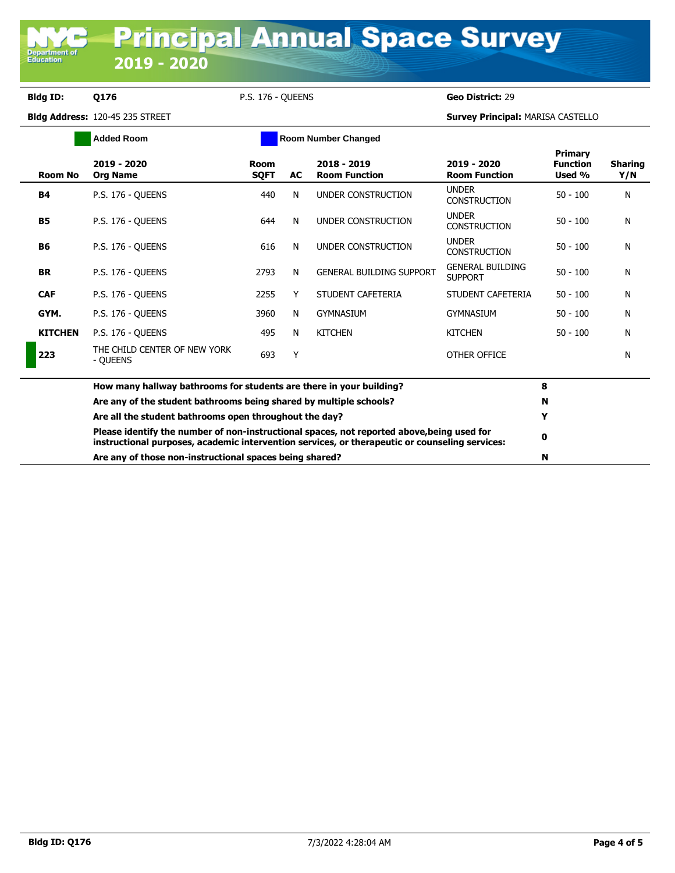## **Bldg ID: Q176** P.S. 176 - QUEENS **Geo District:** 29

**Department o**<br>Education

| <b>Added Room</b>                                       |                                                                                                                                                                                              |                     |    | <b>Room Number Changed</b>          |                                           |                                      |                       |
|---------------------------------------------------------|----------------------------------------------------------------------------------------------------------------------------------------------------------------------------------------------|---------------------|----|-------------------------------------|-------------------------------------------|--------------------------------------|-----------------------|
| <b>Room No</b>                                          | 2019 - 2020<br><b>Org Name</b>                                                                                                                                                               | Room<br><b>SQFT</b> | AC | 2018 - 2019<br><b>Room Function</b> | 2019 - 2020<br><b>Room Function</b>       | Primary<br><b>Function</b><br>Used % | <b>Sharing</b><br>Y/N |
| <b>B4</b>                                               | <b>P.S. 176 - OUEENS</b>                                                                                                                                                                     | 440                 | N  | UNDER CONSTRUCTION                  | <b>UNDER</b><br><b>CONSTRUCTION</b>       | $50 - 100$                           | N                     |
| <b>B5</b>                                               | <b>P.S. 176 - OUEENS</b>                                                                                                                                                                     | 644                 | N  | UNDER CONSTRUCTION                  | <b>UNDER</b><br><b>CONSTRUCTION</b>       | $50 - 100$                           | N                     |
| <b>B6</b>                                               | <b>P.S. 176 - OUEENS</b>                                                                                                                                                                     | 616                 | N  | UNDER CONSTRUCTION                  | <b>UNDER</b><br><b>CONSTRUCTION</b>       | $50 - 100$                           | N                     |
| <b>BR</b>                                               | <b>P.S. 176 - OUEENS</b>                                                                                                                                                                     | 2793                | N  | <b>GENERAL BUILDING SUPPORT</b>     | <b>GENERAL BUILDING</b><br><b>SUPPORT</b> | $50 - 100$                           | N                     |
| <b>CAF</b>                                              | <b>P.S. 176 - OUEENS</b>                                                                                                                                                                     | 2255                | Y  | STUDENT CAFETERIA                   | STUDENT CAFETERIA                         | $50 - 100$                           | N                     |
| GYM.                                                    | <b>P.S. 176 - OUEENS</b>                                                                                                                                                                     | 3960                | N  | <b>GYMNASIUM</b>                    | <b>GYMNASIUM</b>                          | $50 - 100$                           | N                     |
| <b>KITCHEN</b>                                          | <b>P.S. 176 - OUEENS</b>                                                                                                                                                                     | 495                 | N  | <b>KITCHEN</b>                      | <b>KITCHEN</b>                            | $50 - 100$                           | N                     |
| 223                                                     | THE CHILD CENTER OF NEW YORK<br>- QUEENS                                                                                                                                                     | 693                 | Y  |                                     | OTHER OFFICE                              |                                      | N                     |
|                                                         | How many hallway bathrooms for students are there in your building?                                                                                                                          |                     | 8  |                                     |                                           |                                      |                       |
|                                                         | Are any of the student bathrooms being shared by multiple schools?                                                                                                                           |                     |    | N                                   |                                           |                                      |                       |
|                                                         | Are all the student bathrooms open throughout the day?                                                                                                                                       |                     |    |                                     |                                           | Y                                    |                       |
|                                                         | Please identify the number of non-instructional spaces, not reported above, being used for<br>instructional purposes, academic intervention services, or therapeutic or counseling services: |                     |    |                                     |                                           |                                      |                       |
| Are any of those non-instructional spaces being shared? |                                                                                                                                                                                              |                     |    |                                     |                                           | N                                    |                       |